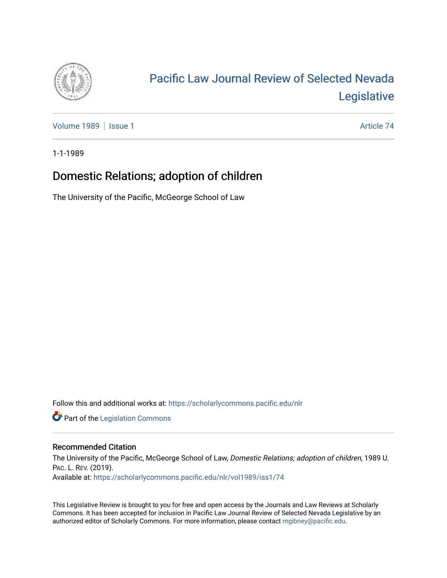

# [Pacific Law Journal Review of Selected Nevada](https://scholarlycommons.pacific.edu/nlr)  [Legislative](https://scholarlycommons.pacific.edu/nlr)

[Volume 1989](https://scholarlycommons.pacific.edu/nlr/vol1989) | [Issue 1](https://scholarlycommons.pacific.edu/nlr/vol1989/iss1) Article 74

1-1-1989

## Domestic Relations; adoption of children

The University of the Pacific, McGeorge School of Law

Follow this and additional works at: [https://scholarlycommons.pacific.edu/nlr](https://scholarlycommons.pacific.edu/nlr?utm_source=scholarlycommons.pacific.edu%2Fnlr%2Fvol1989%2Fiss1%2F74&utm_medium=PDF&utm_campaign=PDFCoverPages) 

**Part of the [Legislation Commons](http://network.bepress.com/hgg/discipline/859?utm_source=scholarlycommons.pacific.edu%2Fnlr%2Fvol1989%2Fiss1%2F74&utm_medium=PDF&utm_campaign=PDFCoverPages)** 

#### Recommended Citation

The University of the Pacific, McGeorge School of Law, Domestic Relations; adoption of children, 1989 U. PAC. L. REV. (2019). Available at: [https://scholarlycommons.pacific.edu/nlr/vol1989/iss1/74](https://scholarlycommons.pacific.edu/nlr/vol1989/iss1/74?utm_source=scholarlycommons.pacific.edu%2Fnlr%2Fvol1989%2Fiss1%2F74&utm_medium=PDF&utm_campaign=PDFCoverPages)

This Legislative Review is brought to you for free and open access by the Journals and Law Reviews at Scholarly Commons. It has been accepted for inclusion in Pacific Law Journal Review of Selected Nevada Legislative by an authorized editor of Scholarly Commons. For more information, please contact [mgibney@pacific.edu](mailto:mgibney@pacific.edu).